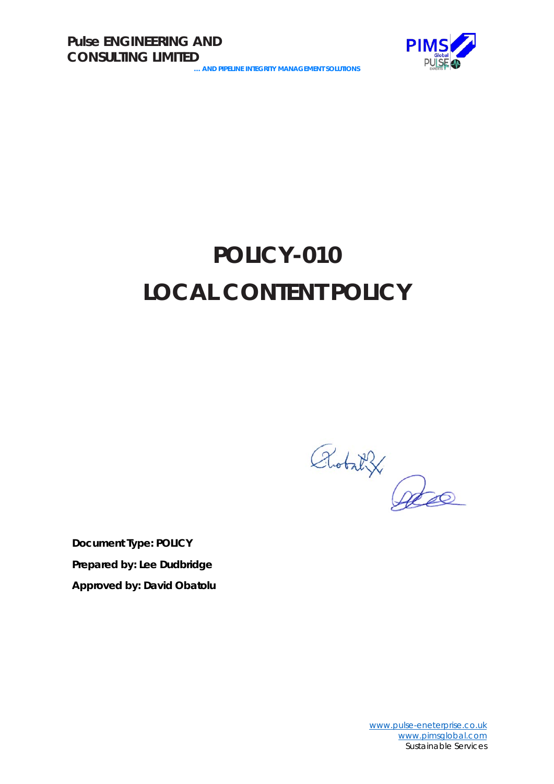

# **POLICY-010 LOCAL CONTENT POLICY**

Robat X

**Document Type: POLICY Prepared by: Lee Dudbridge Approved by: David Obatolu**

> [www.pulse-eneterprise.co.uk](http://www.pulse-eneterprise.co.uk/) [www.pimsglobal.com](http://www.pimsglobal.com/) Sustainable Services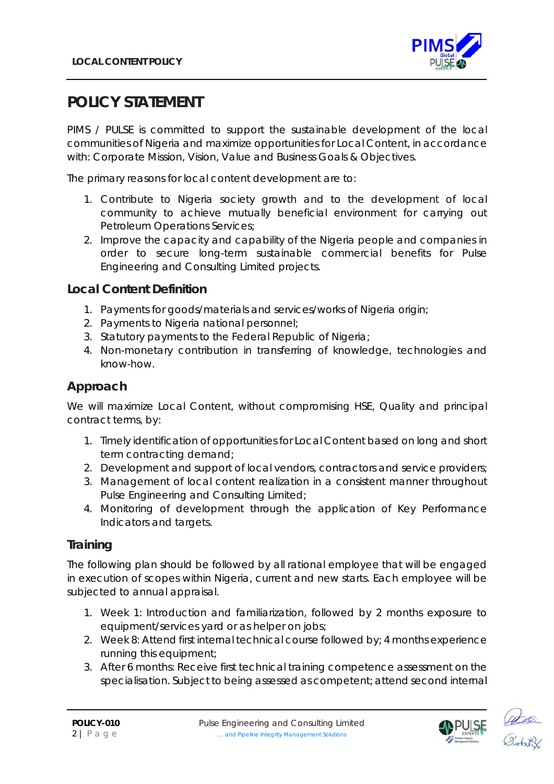

# **POLICY STATEMENT**

PIMS / PULSE is committed to support the sustainable development of the local communities of Nigeria and maximize opportunities for Local Content, in accordance with: Corporate Mission, Vision, Value and Business Goals & Objectives.

The primary reasons for local content development are to:

- 1. Contribute to Nigeria society growth and to the development of local community to achieve mutually beneficial environment for carrying out Petroleum Operations Services;
- 2. Improve the capacity and capability of the Nigeria people and companies in order to secure long-term sustainable commercial benefits for Pulse Engineering and Consulting Limited projects.

#### **Local Content Definition**

- 1. Payments for goods/materials and services/works of Nigeria origin;
- 2. Payments to Nigeria national personnel;
- 3. Statutory payments to the Federal Republic of Nigeria;
- 4. Non-monetary contribution in transferring of knowledge, technologies and know-how.

## **Approach**

We will maximize Local Content, without compromising HSE, Quality and principal contract terms, by:

- 1. Timely identification of opportunities for Local Content based on long and short term contracting demand;
- 2. Development and support of local vendors, contractors and service providers;
- 3. Management of local content realization in a consistent manner throughout Pulse Engineering and Consulting Limited;
- 4. Monitoring of development through the application of Key Performance Indicators and targets.

## **Training**

The following plan should be followed by all rational employee that will be engaged in execution of scopes within Nigeria, current and new starts. Each employee will be subjected to annual appraisal.

- 1. Week 1: Introduction and familiarization, followed by 2 months exposure to equipment/services yard or as helper on jobs;
- 2. Week 8: Attend first internal technical course followed by; 4 months experience running this equipment;
- 3. After 6 months: Receive first technical training competence assessment on the specialisation. Subject to being assessed as competent; attend second internal